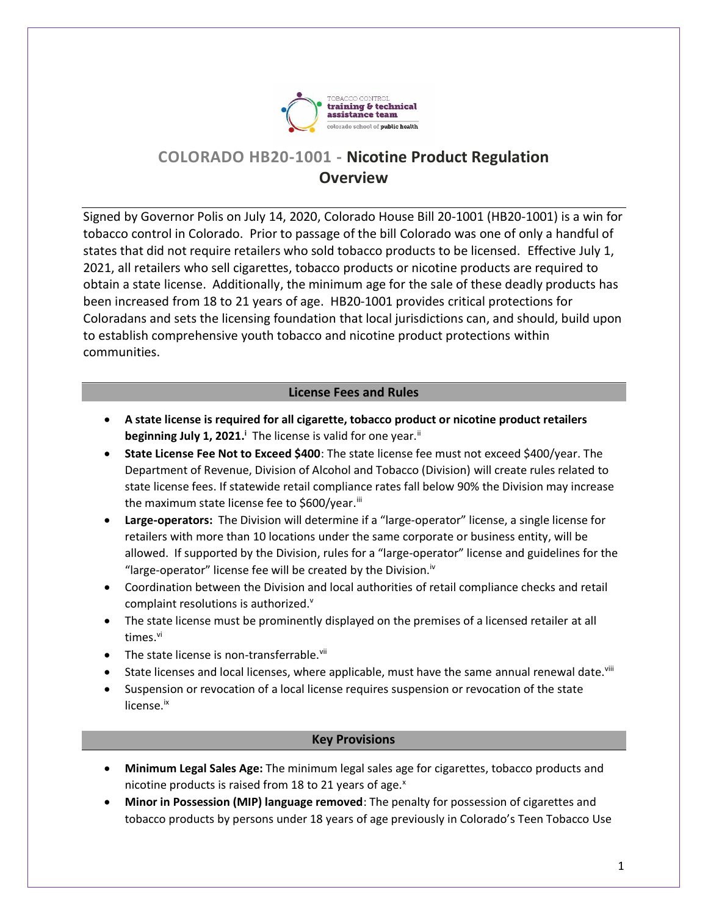

# **COLORADO HB20-1001 - Nicotine Product Regulation Overview**

Signed by Governor Polis on July 14, 2020, Colorado House Bill 20-1001 (HB20-1001) is a win for tobacco control in Colorado. Prior to passage of the bill Colorado was one of only a handful of states that did not require retailers who sold tobacco products to be licensed. Effective July 1, 2021, all retailers who sell cigarettes, tobacco products or nicotine products are required to obtain a state license. Additionally, the minimum age for the sale of these deadly products has been increased from 18 to 21 years of age. HB20-1001 provides critical protections for Coloradans and sets the licensing foundation that local jurisdictions can, and should, build upon to establish comprehensive youth tobacco and nicotine product protections within communities.

## **License Fees and Rules**

- **A state license is required for all cigarette, tobacco product or nicotine product retailers beginning July 1, 2021.<sup>i</sup> The license is valid for one year.<sup>ii</sup>**
- **State License Fee Not to Exceed \$400**: The state license fee must not exceed \$400/year. The Department of Revenue, Division of Alcohol and Tobacco (Division) will create rules related to state license fees. If statewide retail compliance rates fall below 90% the Division may increase the maximum state license fee to \$600/year.<sup>iii</sup>
- **Large-operators:** The Division will determine if a "large-operator" license, a single license for retailers with more than 10 locations under the same corporate or business entity, will be allowed. If supported by the Division, rules for a "large-operator" license and guidelines for the "large-operator" license fee will be created by the Division.<sup>iv</sup>
- Coordination between the Division and local authorities of retail compliance checks and retail complaint resolutions is authorized.<sup>v</sup>
- The state license must be prominently displayed on the premises of a licensed retailer at all times. vi
- $\bullet$  The state license is non-transferrable.<sup>vii</sup>
- State licenses and local licenses, where applicable, must have the same annual renewal date.<sup>viii</sup>
- Suspension or revocation of a local license requires suspension or revocation of the state license.ix

#### **Key Provisions**

- **Minimum Legal Sales Age:** The minimum legal sales age for cigarettes, tobacco products and nicotine products is raised from 18 to 21 years of age. $^{x}$
- **Minor in Possession (MIP) language removed**: The penalty for possession of cigarettes and tobacco products by persons under 18 years of age previously in Colorado's Teen Tobacco Use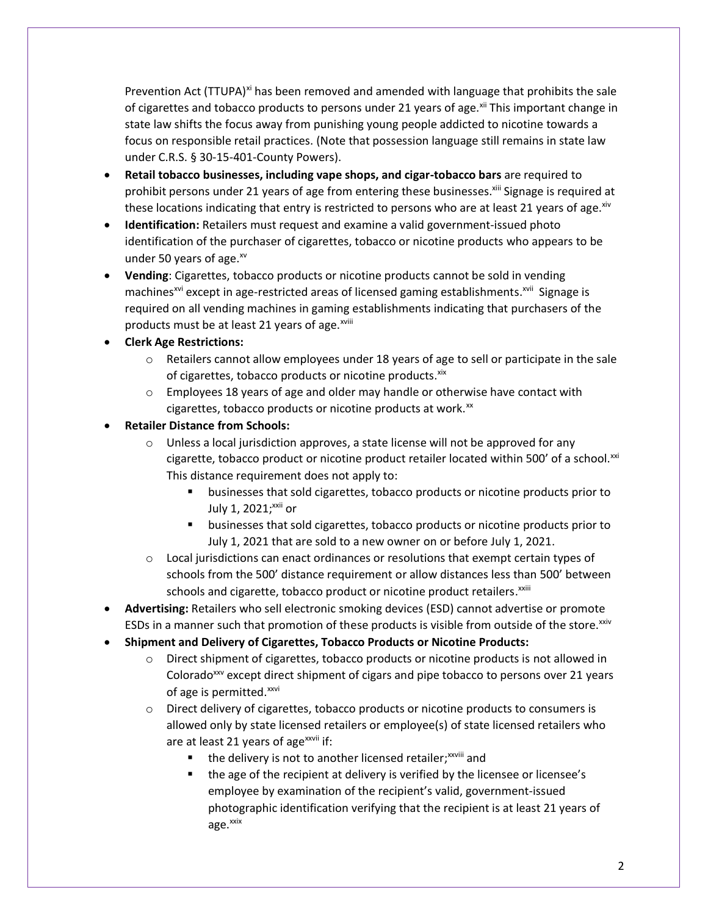Prevention Act (TTUPA)<sup>xi</sup> has been removed and amended with language that prohibits the sale of cigarettes and tobacco products to persons under 21 years of age.<sup>xii</sup> This important change in state law shifts the focus away from punishing young people addicted to nicotine towards a focus on responsible retail practices. (Note that possession language still remains in state law under C.R.S. § 30-15-401-County Powers).

- **Retail tobacco businesses, including vape shops, and cigar-tobacco bars** are required to prohibit persons under 21 years of age from entering these businesses.<sup>xiii</sup> Signage is required at these locations indicating that entry is restricted to persons who are at least 21 years of age.<sup>xiv</sup>
- **Identification:** Retailers must request and examine a valid government-issued photo identification of the purchaser of cigarettes, tobacco or nicotine products who appears to be under 50 years of age.xv
- **Vending**: Cigarettes, tobacco products or nicotine products cannot be sold in vending machines<sup>xvi</sup> except in age-restricted areas of licensed gaming establishments.<sup>xvii</sup> Signage is required on all vending machines in gaming establishments indicating that purchasers of the products must be at least 21 years of age.<sup>xviii</sup>
- **Clerk Age Restrictions:**
	- $\circ$  Retailers cannot allow employees under 18 years of age to sell or participate in the sale of cigarettes, tobacco products or nicotine products. xix
	- $\circ$  Employees 18 years of age and older may handle or otherwise have contact with cigarettes, tobacco products or nicotine products at work. $x$
- **Retailer Distance from Schools:**
	- $\circ$  Unless a local jurisdiction approves, a state license will not be approved for any cigarette, tobacco product or nicotine product retailer located within 500' of a school. $^{xxi}$ This distance requirement does not apply to:
		- businesses that sold cigarettes, tobacco products or nicotine products prior to July 1, 2021; xxii or
		- businesses that sold cigarettes, tobacco products or nicotine products prior to July 1, 2021 that are sold to a new owner on or before July 1, 2021.
	- $\circ$  Local jurisdictions can enact ordinances or resolutions that exempt certain types of schools from the 500' distance requirement or allow distances less than 500' between schools and cigarette, tobacco product or nicotine product retailers.<sup>xxiii</sup>
- **Advertising:** Retailers who sell electronic smoking devices (ESD) cannot advertise or promote ESDs in a manner such that promotion of these products is visible from outside of the store.<sup>xxiv</sup>
- **Shipment and Delivery of Cigarettes, Tobacco Products or Nicotine Products:**
	- $\circ$  Direct shipment of cigarettes, tobacco products or nicotine products is not allowed in Colorado<sup>xxv</sup> except direct shipment of cigars and pipe tobacco to persons over 21 years of age is permitted.<sup>xxvi</sup>
	- $\circ$  Direct delivery of cigarettes, tobacco products or nicotine products to consumers is allowed only by state licensed retailers or employee(s) of state licensed retailers who are at least 21 years of age $x$ <sup>xxvii</sup> if:
		- the delivery is not to another licensed retailer;<sup>xxviii</sup> and
		- the age of the recipient at delivery is verified by the licensee or licensee's employee by examination of the recipient's valid, government-issued photographic identification verifying that the recipient is at least 21 years of age.<sup>xxix</sup>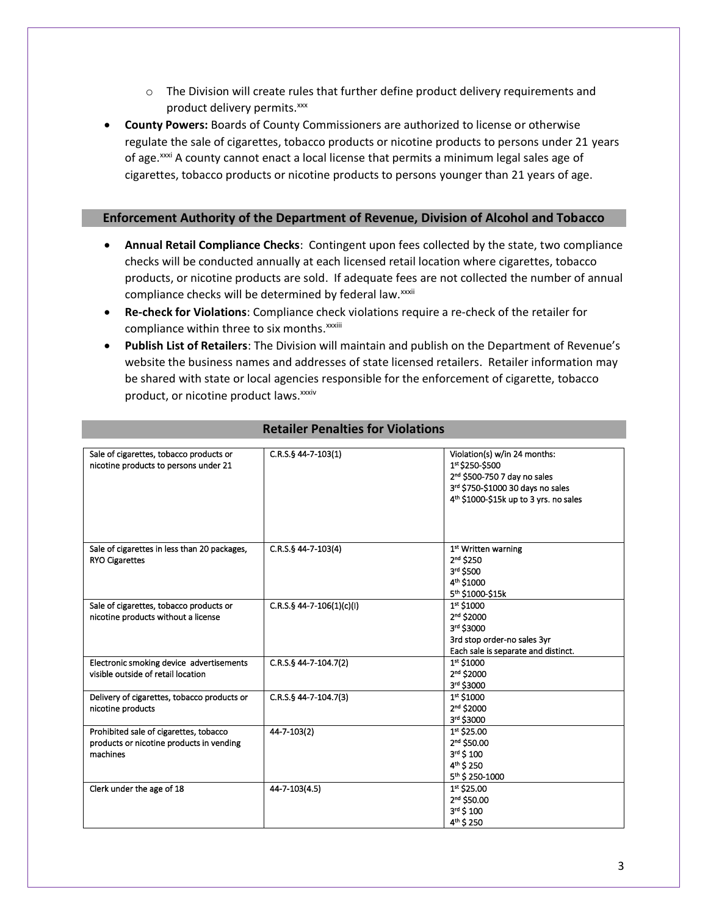- $\circ$  The Division will create rules that further define product delivery requirements and product delivery permits.<sup>xxx</sup>
- **County Powers:** Boards of County Commissioners are authorized to license or otherwise regulate the sale of cigarettes, tobacco products or nicotine products to persons under 21 years of age.<sup>xxxi</sup> A county cannot enact a local license that permits a minimum legal sales age of cigarettes, tobacco products or nicotine products to persons younger than 21 years of age.

#### **Enforcement Authority of the Department of Revenue, Division of Alcohol and Tobacco**

- **Annual Retail Compliance Checks**: Contingent upon fees collected by the state, two compliance checks will be conducted annually at each licensed retail location where cigarettes, tobacco products, or nicotine products are sold. If adequate fees are not collected the number of annual compliance checks will be determined by federal law.<sup>xxxii</sup>
- **Re-check for Violations**: Compliance check violations require a re-check of the retailer for compliance within three to six months.<sup>xxxiii</sup>
- **Publish List of Retailers**: The Division will maintain and publish on the Department of Revenue's website the business names and addresses of state licensed retailers. Retailer information may be shared with state or local agencies responsible for the enforcement of cigarette, tobacco product, or nicotine product laws. xxxiv

| Sale of cigarettes, tobacco products or<br>nicotine products to persons under 21               | C.R.S.§ 44-7-103(1)         | Violation(s) w/in 24 months:<br>1st \$250-\$500<br>2 <sup>nd</sup> \$500-750 7 day no sales<br>3rd \$750-\$1000 30 days no sales<br>4 <sup>th</sup> \$1000-\$15k up to 3 yrs. no sales |
|------------------------------------------------------------------------------------------------|-----------------------------|----------------------------------------------------------------------------------------------------------------------------------------------------------------------------------------|
| Sale of cigarettes in less than 20 packages,<br><b>RYO Cigarettes</b>                          | C.R.S.§ 44-7-103(4)         | 1st Written warning<br>2 <sup>nd</sup> \$250<br>3rd \$500<br>4 <sup>th</sup> \$1000<br>5th \$1000-\$15k                                                                                |
| Sale of cigarettes, tobacco products or<br>nicotine products without a license                 | $C.R.S.S.44-7-106(1)(c)(l)$ | 1st \$1000<br>2 <sup>nd</sup> \$2000<br>3rd \$3000<br>3rd stop order-no sales 3yr<br>Each sale is separate and distinct.                                                               |
| Electronic smoking device advertisements<br>visible outside of retail location                 | $C.R.S.$ § 44-7-104.7(2)    | 1st \$1000<br>2 <sup>nd</sup> \$2000<br>3rd \$3000                                                                                                                                     |
| Delivery of cigarettes, tobacco products or<br>nicotine products                               | C.R.S.§ 44-7-104.7(3)       | 1st \$1000<br>2 <sup>nd</sup> \$2000<br>3rd \$3000                                                                                                                                     |
| Prohibited sale of cigarettes, tobacco<br>products or nicotine products in vending<br>machines | 44-7-103(2)                 | 1st \$25.00<br>2 <sup>nd</sup> \$50.00<br>3rd \$ 100<br>4 <sup>th</sup> \$ 250<br>5th \$250-1000                                                                                       |
| Clerk under the age of 18                                                                      | 44-7-103(4.5)               | 1st \$25.00<br>2 <sup>nd</sup> \$50.00<br>3rd \$ 100<br>4 <sup>th</sup> \$ 250                                                                                                         |

### **Retailer Penalties for Violations**